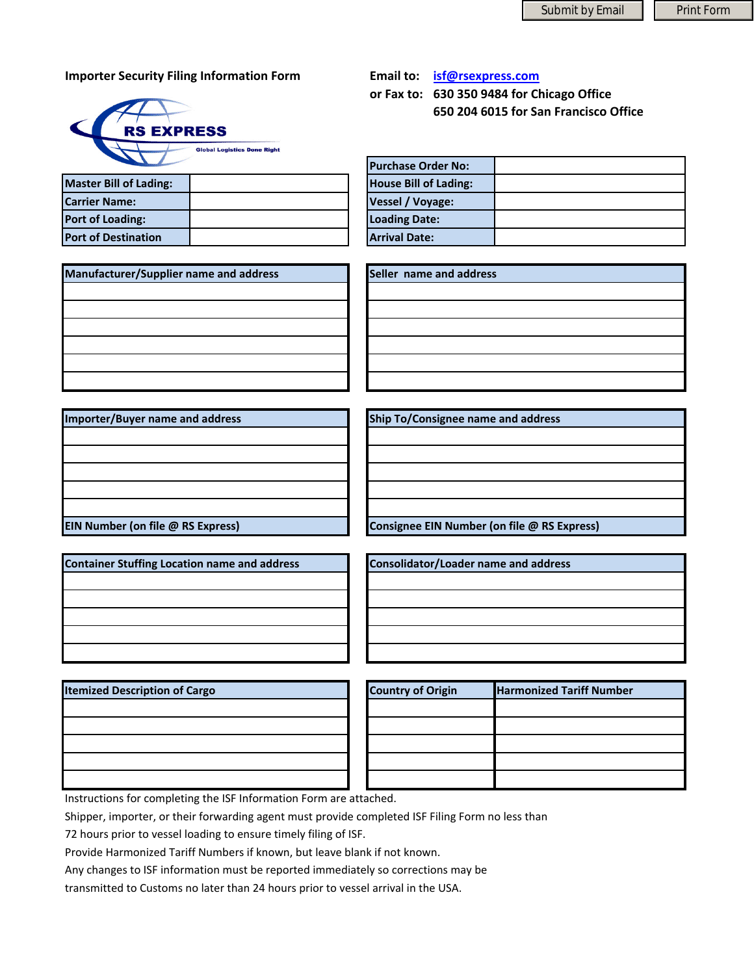## **Importer Security Filing Information Form <b>Email Email**



|  | mail to: | isf@rsexpress.com |
|--|----------|-------------------|
|--|----------|-------------------|

**or Fax to: 630 350 9484 for Chicago Office 650 204 6015 for San Francisco Office**

| <b>Master Bill of Lading:</b> |  | <b>House Bill of Lading:</b> |
|-------------------------------|--|------------------------------|
| <b>Carrier Name:</b>          |  | <b>Vessel / Voyage:</b>      |
| <b>Port of Loading:</b>       |  | <b>Loading Date:</b>         |
| <b>Port of Destination</b>    |  | <b>Arrival Date:</b>         |

| <b>Purchase Order No:</b>    |  |
|------------------------------|--|
| <b>House Bill of Lading:</b> |  |
| Vessel / Voyage:             |  |
| <b>Loading Date:</b>         |  |
| <b>Arrival Date:</b>         |  |

| Manufacturer/Supplier name and address |  |
|----------------------------------------|--|
|                                        |  |
|                                        |  |
|                                        |  |
|                                        |  |
|                                        |  |
|                                        |  |

**Number (on file @ Express) E Consignee C i Number (on file @ Express) E** 

**Manufacturer/Supplier name and address Seller name and address**

**EIN** Number (on file @ RS Express) **Importer/Buyer name and address Ship To/Consignee name and address**

| <b>Container Stuffing Location name and address</b> |  |
|-----------------------------------------------------|--|
|                                                     |  |
|                                                     |  |
|                                                     |  |
|                                                     |  |
|                                                     |  |

**Container Stuffing Location name and address Consolidator/Loader name and address**

| <b>Itemized Description of Cargo</b> | <b>Country of Origin</b> | <b>Harmonized Tariff Number</b> |
|--------------------------------------|--------------------------|---------------------------------|
|                                      |                          |                                 |
|                                      |                          |                                 |
|                                      |                          |                                 |
|                                      |                          |                                 |
|                                      |                          |                                 |

| <b>Country of Origin</b> | <b>Harmonized Tariff Number</b> |
|--------------------------|---------------------------------|
|                          |                                 |
|                          |                                 |
|                          |                                 |
|                          |                                 |
|                          |                                 |

Instructions for completing the ISF Information Form are attached.

Shipper, importer, or their forwarding agent must provide completed ISF Filing Form no less than

72 hours prior to vessel loading to ensure timely filing of ISF.

Provide Harmonized Tariff Numbers if known, but leave blank if not known.

Any changes to ISF information must be reported immediately so corrections may be

transmitted to Customs no later than 24 hours prior to vessel arrival in the USA.